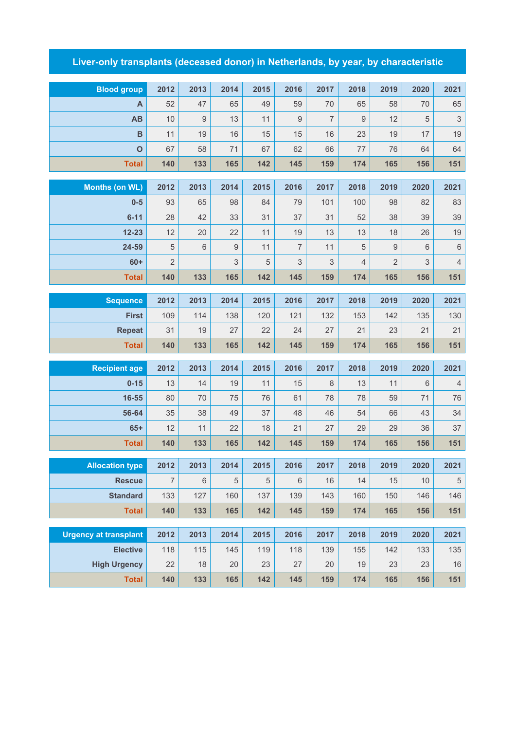## **Liver-only transplants (deceased donor) in Netherlands, by year, by characteristic**

| <b>Blood group</b>               | 2012           | 2013    | 2014     | 2015       | 2016           | 2017           | 2018             | 2019             | 2020       | 2021               |
|----------------------------------|----------------|---------|----------|------------|----------------|----------------|------------------|------------------|------------|--------------------|
| A                                | 52             | 47      | 65       | 49         | 59             | 70             | 65               | 58               | 70         | 65                 |
| AB                               | 10             | $9\,$   | 13       | 11         | 9              | $\overline{7}$ | $\boldsymbol{9}$ | 12               | 5          | $\sqrt{3}$         |
| $\overline{B}$                   | 11             | 19      | 16       | 15         | 15             | 16             | 23               | 19               | 17         | 19                 |
| $\mathbf O$                      | 67             | 58      | 71       | 67         | 62             | 66             | 77               | 76               | 64         | 64                 |
| <b>Total</b>                     | 140            | 133     | 165      | 142        | 145            | 159            | 174              | 165              | 156        | 151                |
|                                  | 2012           | 2013    | 2014     | 2015       | 2016           | 2017           | 2018             | 2019             | 2020       | 2021               |
| <b>Months (on WL)</b><br>$0-5$   | 93             | 65      |          |            |                | 101            | 100              | 98               |            |                    |
| $6 - 11$                         | 28             | 42      | 98<br>33 | 84         | 79             |                |                  |                  | 82<br>39   | 83                 |
| $12 - 23$                        | 12             | 20      | 22       | 31<br>11   | 37<br>19       | 31<br>13       | 52<br>13         | 38<br>18         | 26         | 39<br>19           |
| 24-59                            | 5              | $\,6\,$ | 9        | 11         | $\overline{7}$ | 11             | $\sqrt{5}$       | $\boldsymbol{9}$ | 6          | $\,6\,$            |
| $60+$                            | $\overline{2}$ |         | 3        | 5          | $\mathsf 3$    | 3              | $\sqrt{4}$       | $\overline{2}$   | 3          | $\sqrt{4}$         |
| <b>Total</b>                     | 140            | 133     | 165      | 142        | 145            | 159            | 174              | 165              | 156        | 151                |
|                                  |                |         |          |            |                |                |                  |                  |            |                    |
| <b>Sequence</b>                  | 2012           | 2013    | 2014     | 2015       | 2016           | 2017           | 2018             | 2019             | 2020       | 2021               |
| <b>First</b>                     | 109            | 114     | 138      | 120        | 121            | 132            | 153              | 142              | 135        | 130                |
| <b>Repeat</b>                    | 31             | 19      | 27       | 22         | 24             | 27             | 21               | 23               | 21         | 21                 |
| <b>Total</b>                     | 140            | 133     | 165      | 142        | 145            | 159            | 174              | 165              | 156        | 151                |
| <b>Recipient age</b>             | 2012           | 2013    | 2014     | 2015       | 2016           | 2017           | 2018             | 2019             | 2020       | 2021               |
| $0 - 15$                         | 13             | 14      | 19       | 11         | 15             | 8              | 13               | 11               | 6          | $\sqrt{4}$         |
| 16-55                            | 80             | 70      | 75       | 76         | 61             | 78             | 78               | 59               | 71         | 76                 |
| 56-64                            | 35             | 38      | 49       | 37         | 48             | 46             | 54               | 66               | 43         | 34                 |
| $65+$                            | 12             | 11      | 22       | 18         | 21             | 27             | 29               | 29               | 36         | 37                 |
| <b>Total</b>                     | 140            | 133     | 165      | 142        | 145            | 159            | 174              | 165              | 156        | 151                |
|                                  | 2012           | 2013    | 2014     | 2015       | 2016           | 2017           | 2018             | 2019             |            |                    |
| <b>Allocation type</b>           | $\overline{7}$ | $\,6\,$ | 5        | $\sqrt{5}$ | $\,6$          | 16             | 14               | 15               | 2020<br>10 | 2021               |
| <b>Rescue</b><br><b>Standard</b> | 133            | 127     | 160      | 137        | 139            | 143            | 160              | 150              | 146        | $\,$ 5 $\,$<br>146 |
| <b>Total</b>                     | 140            | 133     | 165      | 142        | 145            | 159            | 174              | 165              | 156        | 151                |
|                                  |                |         |          |            |                |                |                  |                  |            |                    |
| <b>Urgency at transplant</b>     | 2012           | 2013    | 2014     | 2015       | 2016           | 2017           | 2018             | 2019             | 2020       | 2021               |
| <b>Elective</b>                  | 118            | 115     | 145      | 119        | 118            | 139            | 155              | 142              | 133        | 135                |
| <b>High Urgency</b>              | 22             | 18      | 20       | 23         | 27             | 20             | 19               | 23               | 23         | 16                 |
| <b>Total</b>                     | 140            | 133     | 165      | 142        | 145            | 159            | 174              | 165              | 156        | 151                |